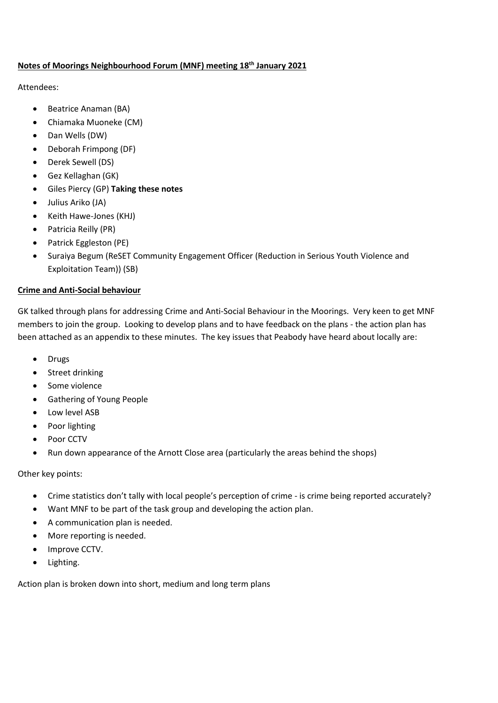## **Notes of Moorings Neighbourhood Forum (MNF) meeting 18th January 2021**

Attendees:

- Beatrice Anaman (BA)
- Chiamaka Muoneke (CM)
- Dan Wells (DW)
- Deborah Frimpong (DF)
- Derek Sewell (DS)
- Gez Kellaghan (GK)
- Giles Piercy (GP) **Taking these notes**
- Julius Ariko (JA)
- Keith Hawe-Jones (KHJ)
- Patricia Reilly (PR)
- Patrick Eggleston (PE)
- Suraiya Begum (ReSET Community Engagement Officer (Reduction in Serious Youth Violence and Exploitation Team)) (SB)

## **Crime and Anti-Social behaviour**

GK talked through plans for addressing Crime and Anti-Social Behaviour in the Moorings. Very keen to get MNF members to join the group. Looking to develop plans and to have feedback on the plans - the action plan has been attached as an appendix to these minutes. The key issues that Peabody have heard about locally are:

- Drugs
- Street drinking
- Some violence
- Gathering of Young People
- Low level ASB
- Poor lighting
- Poor CCTV
- Run down appearance of the Arnott Close area (particularly the areas behind the shops)

Other key points:

- Crime statistics don't tally with local people's perception of crime is crime being reported accurately?
- Want MNF to be part of the task group and developing the action plan.
- A communication plan is needed.
- More reporting is needed.
- Improve CCTV.
- Lighting.

Action plan is broken down into short, medium and long term plans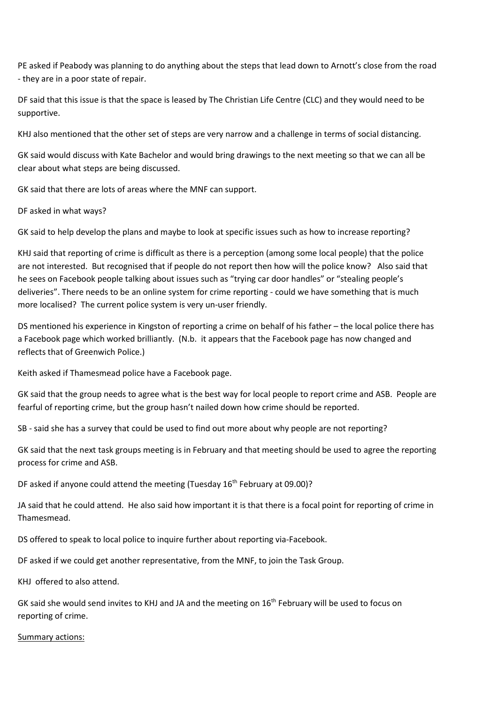PE asked if Peabody was planning to do anything about the steps that lead down to Arnott's close from the road - they are in a poor state of repair.

DF said that this issue is that the space is leased by The Christian Life Centre (CLC) and they would need to be supportive.

KHJ also mentioned that the other set of steps are very narrow and a challenge in terms of social distancing.

GK said would discuss with Kate Bachelor and would bring drawings to the next meeting so that we can all be clear about what steps are being discussed.

GK said that there are lots of areas where the MNF can support.

DF asked in what ways?

GK said to help develop the plans and maybe to look at specific issues such as how to increase reporting?

KHJ said that reporting of crime is difficult as there is a perception (among some local people) that the police are not interested. But recognised that if people do not report then how will the police know? Also said that he sees on Facebook people talking about issues such as "trying car door handles" or "stealing people's deliveries". There needs to be an online system for crime reporting - could we have something that is much more localised? The current police system is very un-user friendly.

DS mentioned his experience in Kingston of reporting a crime on behalf of his father – the local police there has a Facebook page which worked brilliantly. (N.b. it appears that the Facebook page has now changed and reflects that of Greenwich Police.)

Keith asked if Thamesmead police have a Facebook page.

GK said that the group needs to agree what is the best way for local people to report crime and ASB. People are fearful of reporting crime, but the group hasn't nailed down how crime should be reported.

SB - said she has a survey that could be used to find out more about why people are not reporting?

GK said that the next task groups meeting is in February and that meeting should be used to agree the reporting process for crime and ASB.

DF asked if anyone could attend the meeting (Tuesday 16<sup>th</sup> February at 09.00)?

JA said that he could attend. He also said how important it is that there is a focal point for reporting of crime in Thamesmead.

DS offered to speak to local police to inquire further about reporting via-Facebook.

DF asked if we could get another representative, from the MNF, to join the Task Group.

KHJ offered to also attend.

GK said she would send invites to KHJ and JA and the meeting on 16<sup>th</sup> February will be used to focus on reporting of crime.

#### Summary actions: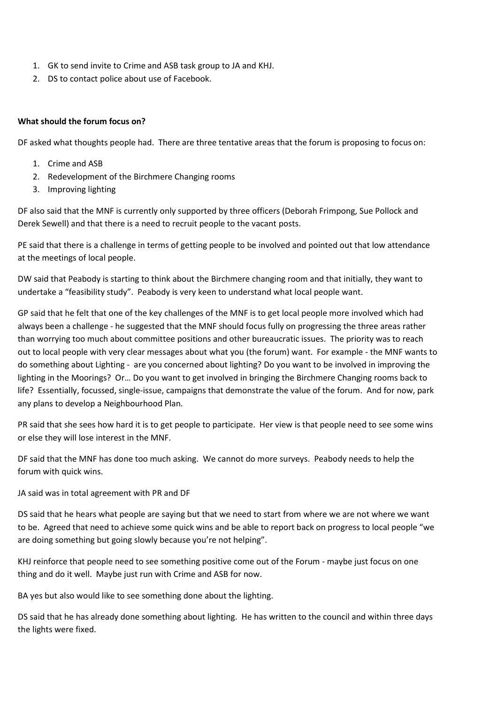- 1. GK to send invite to Crime and ASB task group to JA and KHJ.
- 2. DS to contact police about use of Facebook.

## **What should the forum focus on?**

DF asked what thoughts people had. There are three tentative areas that the forum is proposing to focus on:

- 1. Crime and ASB
- 2. Redevelopment of the Birchmere Changing rooms
- 3. Improving lighting

DF also said that the MNF is currently only supported by three officers (Deborah Frimpong, Sue Pollock and Derek Sewell) and that there is a need to recruit people to the vacant posts.

PE said that there is a challenge in terms of getting people to be involved and pointed out that low attendance at the meetings of local people.

DW said that Peabody is starting to think about the Birchmere changing room and that initially, they want to undertake a "feasibility study". Peabody is very keen to understand what local people want.

GP said that he felt that one of the key challenges of the MNF is to get local people more involved which had always been a challenge - he suggested that the MNF should focus fully on progressing the three areas rather than worrying too much about committee positions and other bureaucratic issues. The priority was to reach out to local people with very clear messages about what you (the forum) want. For example - the MNF wants to do something about Lighting - are you concerned about lighting? Do you want to be involved in improving the lighting in the Moorings? Or… Do you want to get involved in bringing the Birchmere Changing rooms back to life? Essentially, focussed, single-issue, campaigns that demonstrate the value of the forum. And for now, park any plans to develop a Neighbourhood Plan.

PR said that she sees how hard it is to get people to participate. Her view is that people need to see some wins or else they will lose interest in the MNF.

DF said that the MNF has done too much asking. We cannot do more surveys. Peabody needs to help the forum with quick wins.

JA said was in total agreement with PR and DF

DS said that he hears what people are saying but that we need to start from where we are not where we want to be. Agreed that need to achieve some quick wins and be able to report back on progress to local people "we are doing something but going slowly because you're not helping".

KHJ reinforce that people need to see something positive come out of the Forum - maybe just focus on one thing and do it well. Maybe just run with Crime and ASB for now.

BA yes but also would like to see something done about the lighting.

DS said that he has already done something about lighting. He has written to the council and within three days the lights were fixed.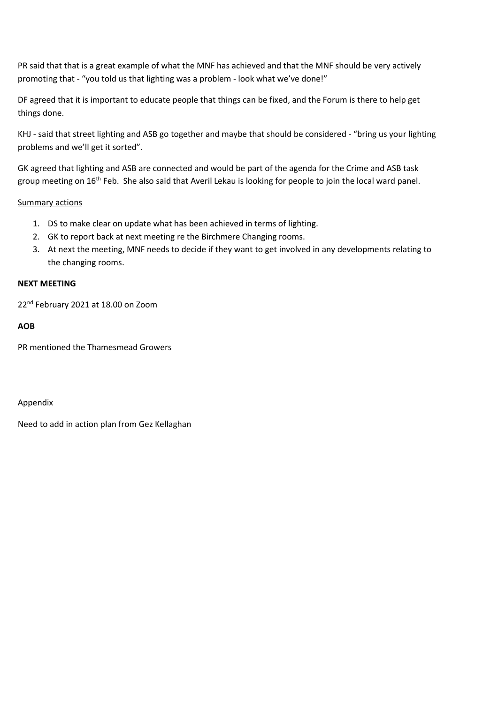PR said that that is a great example of what the MNF has achieved and that the MNF should be very actively promoting that - "you told us that lighting was a problem - look what we've done!"

DF agreed that it is important to educate people that things can be fixed, and the Forum is there to help get things done.

KHJ - said that street lighting and ASB go together and maybe that should be considered - "bring us your lighting problems and we'll get it sorted".

GK agreed that lighting and ASB are connected and would be part of the agenda for the Crime and ASB task group meeting on 16<sup>th</sup> Feb. She also said that Averil Lekau is looking for people to join the local ward panel.

## Summary actions

- 1. DS to make clear on update what has been achieved in terms of lighting.
- 2. GK to report back at next meeting re the Birchmere Changing rooms.
- 3. At next the meeting, MNF needs to decide if they want to get involved in any developments relating to the changing rooms.

## **NEXT MEETING**

22<sup>nd</sup> February 2021 at 18.00 on Zoom

## **AOB**

PR mentioned the Thamesmead Growers

## Appendix

Need to add in action plan from Gez Kellaghan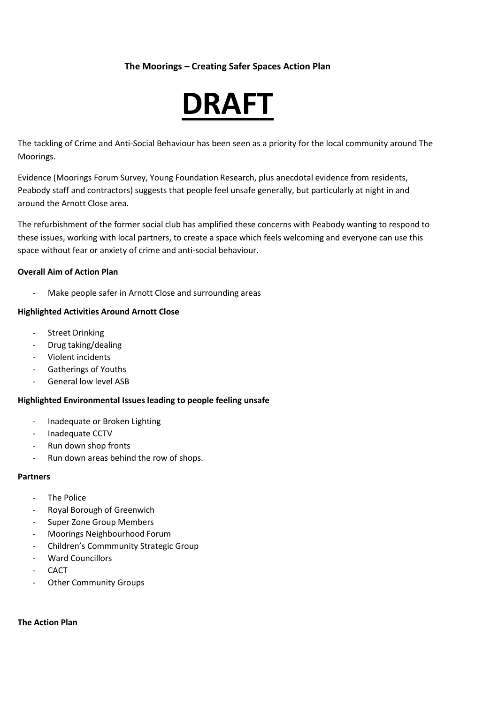## **The Moorings – Creating Safer Spaces Action Plan**

# **DRAFT**

The tackling of Crime and Anti-Social Behaviour has been seen as a priority for the local community around The Moorings.

Evidence (Moorings Forum Survey, Young Foundation Research, plus anecdotal evidence from residents, Peabody staff and contractors) suggests that people feel unsafe generally, but particularly at night in and around the Arnott Close area.

The refurbishment of the former social club has amplified these concerns with Peabody wanting to respond to these issues, working with local partners, to create a space which feels welcoming and everyone can use this space without fear or anxiety of crime and anti-social behaviour.

## **Overall Aim of Action Plan**

Make people safer in Arnott Close and surrounding areas

## **Highlighted Activities Around Arnott Close**

- Street Drinking
- Drug taking/dealing
- Violent incidents
- Gatherings of Youths
- General low level ASB

## **Highlighted Environmental Issues leading to people feeling unsafe**

- Inadequate or Broken Lighting
- Inadequate CCTV
- Run down shop fronts
- Run down areas behind the row of shops.

## **Partners**

- The Police
- Royal Borough of Greenwich
- Super Zone Group Members
- Moorings Neighbourhood Forum
- Children's Commmunity Strategic Group
- Ward Councillors
- **CACT**
- Other Community Groups

## **The Action Plan**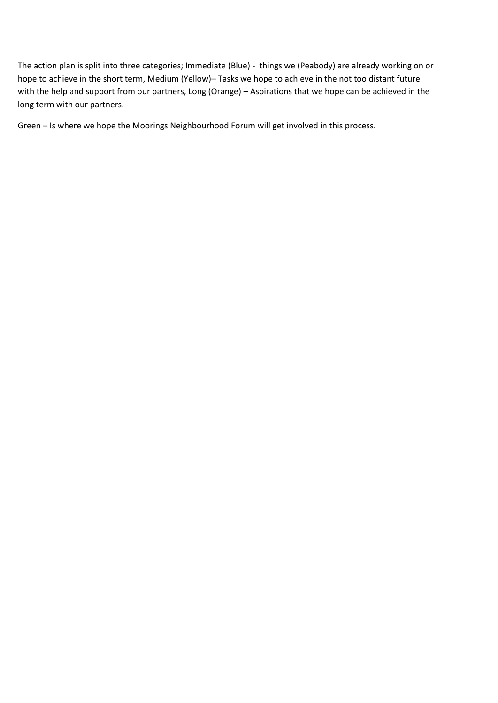The action plan is split into three categories; Immediate (Blue) - things we (Peabody) are already working on or hope to achieve in the short term, Medium (Yellow)– Tasks we hope to achieve in the not too distant future with the help and support from our partners, Long (Orange) – Aspirations that we hope can be achieved in the long term with our partners.

Green – Is where we hope the Moorings Neighbourhood Forum will get involved in this process.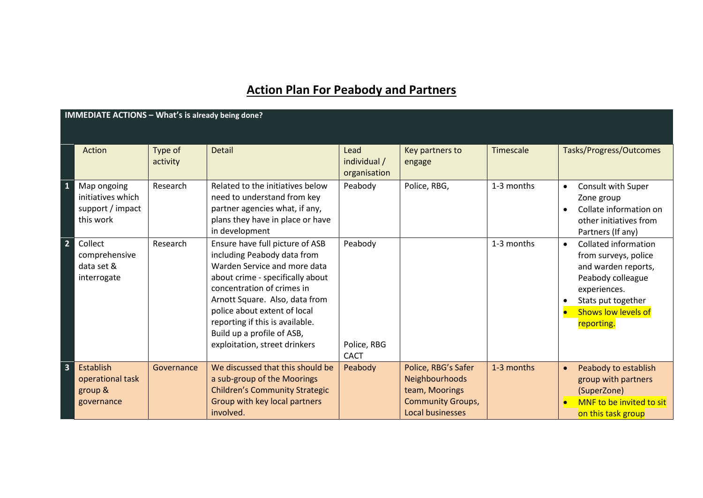## **Action Plan For Peabody and Partners**

|                         | IMMEDIATE ACTIONS - What's is already being done?                 |                     |                                                                                                                                                                                                                                                                                                                                      |                                       |                                                                                                                |            |                                                                                                                                                                                         |  |  |  |
|-------------------------|-------------------------------------------------------------------|---------------------|--------------------------------------------------------------------------------------------------------------------------------------------------------------------------------------------------------------------------------------------------------------------------------------------------------------------------------------|---------------------------------------|----------------------------------------------------------------------------------------------------------------|------------|-----------------------------------------------------------------------------------------------------------------------------------------------------------------------------------------|--|--|--|
|                         | Action                                                            | Type of<br>activity | <b>Detail</b>                                                                                                                                                                                                                                                                                                                        | Lead<br>individual /<br>organisation  | Key partners to<br>engage                                                                                      | Timescale  | Tasks/Progress/Outcomes                                                                                                                                                                 |  |  |  |
| $\mathbf{1}$            | Map ongoing<br>initiatives which<br>support / impact<br>this work | Research            | Related to the initiatives below<br>need to understand from key<br>partner agencies what, if any,<br>plans they have in place or have<br>in development                                                                                                                                                                              | Peabody                               | Police, RBG,                                                                                                   | 1-3 months | Consult with Super<br>$\bullet$<br>Zone group<br>Collate information on<br>other initiatives from<br>Partners (If any)                                                                  |  |  |  |
| $\overline{2}$          | Collect<br>comprehensive<br>data set &<br>interrogate             | Research            | Ensure have full picture of ASB<br>including Peabody data from<br>Warden Service and more data<br>about crime - specifically about<br>concentration of crimes in<br>Arnott Square. Also, data from<br>police about extent of local<br>reporting if this is available.<br>Build up a profile of ASB,<br>exploitation, street drinkers | Peabody<br>Police, RBG<br><b>CACT</b> |                                                                                                                | 1-3 months | <b>Collated information</b><br>$\bullet$<br>from surveys, police<br>and warden reports,<br>Peabody colleague<br>experiences.<br>Stats put together<br>Shows low levels of<br>reporting. |  |  |  |
| $\overline{\mathbf{3}}$ | Establish<br>operational task<br>group &<br>governance            | Governance          | We discussed that this should be<br>a sub-group of the Moorings<br><b>Children's Community Strategic</b><br>Group with key local partners<br>involved.                                                                                                                                                                               | Peabody                               | Police, RBG's Safer<br>Neighbourhoods<br>team, Moorings<br><b>Community Groups,</b><br><b>Local businesses</b> | 1-3 months | Peabody to establish<br>group with partners<br>(SuperZone)<br>MNF to be invited to sit<br>on this task group                                                                            |  |  |  |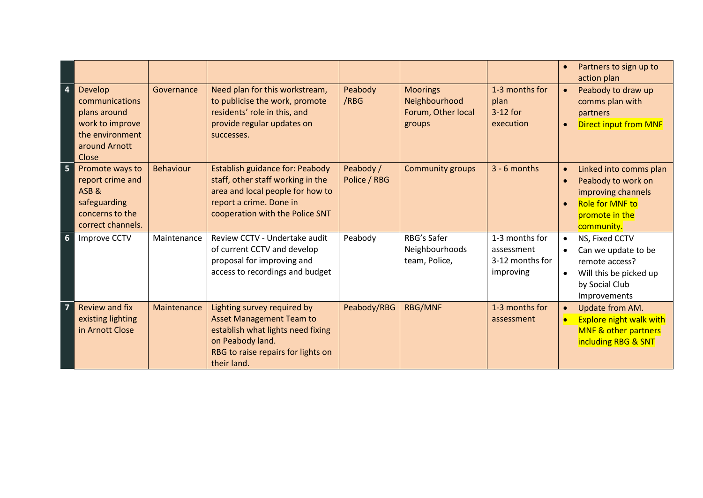|                  |                                                                                                                  |                  |                                                                                                                                                                               |                           |                                                                  |                                                              |                        | Partners to sign up to<br>action plan                                                                                        |
|------------------|------------------------------------------------------------------------------------------------------------------|------------------|-------------------------------------------------------------------------------------------------------------------------------------------------------------------------------|---------------------------|------------------------------------------------------------------|--------------------------------------------------------------|------------------------|------------------------------------------------------------------------------------------------------------------------------|
| $\boldsymbol{4}$ | <b>Develop</b><br>communications<br>plans around<br>work to improve<br>the environment<br>around Arnott<br>Close | Governance       | Need plan for this workstream,<br>to publicise the work, promote<br>residents' role in this, and<br>provide regular updates on<br>successes.                                  | Peabody<br>/RBG           | <b>Moorings</b><br>Neighbourhood<br>Forum, Other local<br>groups | 1-3 months for<br>plan<br>$3-12$ for<br>execution            | $\bullet$              | Peabody to draw up<br>comms plan with<br>partners<br><b>Direct input from MNF</b>                                            |
| 5                | Promote ways to<br>report crime and<br>ASB&<br>safeguarding<br>concerns to the<br>correct channels.              | <b>Behaviour</b> | <b>Establish guidance for: Peabody</b><br>staff, other staff working in the<br>area and local people for how to<br>report a crime. Done in<br>cooperation with the Police SNT | Peabody /<br>Police / RBG | <b>Community groups</b>                                          | $3 - 6$ months                                               | $\bullet$              | Linked into comms plan<br>Peabody to work on<br>improving channels<br><b>Role for MNF to</b><br>promote in the<br>community. |
| $6\phantom{1}6$  | <b>Improve CCTV</b>                                                                                              | Maintenance      | Review CCTV - Undertake audit<br>of current CCTV and develop<br>proposal for improving and<br>access to recordings and budget                                                 | Peabody                   | RBG's Safer<br>Neighbourhoods<br>team, Police,                   | 1-3 months for<br>assessment<br>3-12 months for<br>improving | $\bullet$              | NS, Fixed CCTV<br>Can we update to be<br>remote access?<br>Will this be picked up<br>by Social Club<br>Improvements          |
|                  | <b>Review and fix</b><br>existing lighting<br>in Arnott Close                                                    | Maintenance      | Lighting survey required by<br><b>Asset Management Team to</b><br>establish what lights need fixing<br>on Peabody land.<br>RBG to raise repairs for lights on<br>their land.  | Peabody/RBG               | <b>RBG/MNF</b>                                                   | 1-3 months for<br>assessment                                 | $\bullet$<br>$\bullet$ | Update from AM.<br><b>Explore night walk with</b><br><b>MNF &amp; other partners</b><br>including RBG & SNT                  |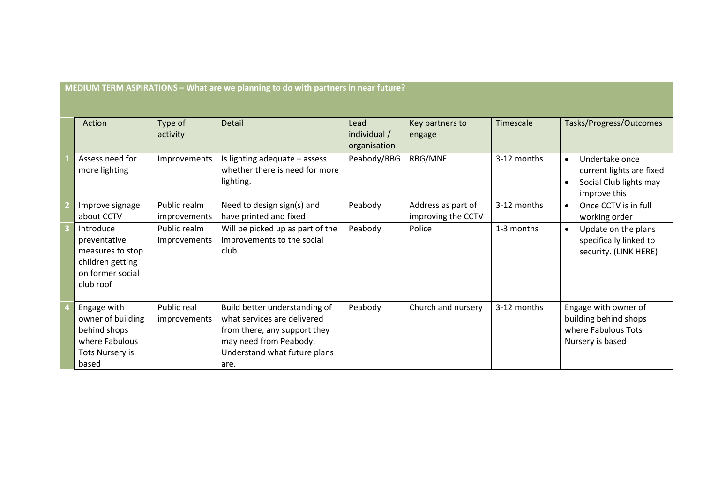| Action                                                                                             | Type of<br>activity          | <b>Detail</b>                                                                                                                                                  | Lead<br>individual /<br>organisation | Key partners to<br>engage                | Timescale   | Tasks/Progress/Outcomes                                                                                        |
|----------------------------------------------------------------------------------------------------|------------------------------|----------------------------------------------------------------------------------------------------------------------------------------------------------------|--------------------------------------|------------------------------------------|-------------|----------------------------------------------------------------------------------------------------------------|
| Assess need for<br>more lighting                                                                   | Improvements                 | Is lighting adequate - assess<br>whether there is need for more<br>lighting.                                                                                   | Peabody/RBG                          | RBG/MNF                                  | 3-12 months | Undertake once<br>$\bullet$<br>current lights are fixed<br>Social Club lights may<br>$\bullet$<br>improve this |
| Improve signage<br>about CCTV                                                                      | Public realm<br>improvements | Need to design sign(s) and<br>have printed and fixed                                                                                                           | Peabody                              | Address as part of<br>improving the CCTV | 3-12 months | Once CCTV is in full<br>$\bullet$<br>working order                                                             |
| Introduce<br>preventative<br>measures to stop<br>children getting<br>on former social<br>club roof | Public realm<br>improvements | Will be picked up as part of the<br>improvements to the social<br>club                                                                                         | Peabody                              | Police                                   | 1-3 months  | Update on the plans<br>$\bullet$<br>specifically linked to<br>security. (LINK HERE)                            |
| Engage with<br>owner of building<br>behind shops<br>where Fabulous<br>Tots Nursery is<br>based     | Public real<br>improvements  | Build better understanding of<br>what services are delivered<br>from there, any support they<br>may need from Peabody.<br>Understand what future plans<br>are. | Peabody                              | Church and nursery                       | 3-12 months | Engage with owner of<br>building behind shops<br>where Fabulous Tots<br>Nursery is based                       |

**MEDIUM TERM ASPIRATIONS - What are we planning to do with partners in near future?**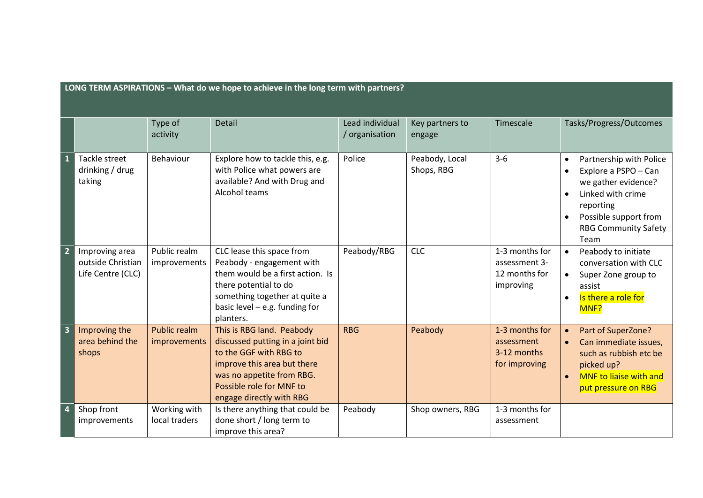|                         | LONG TERM ASPIRATIONS - What do we hope to achieve in the long term with partners? |                                     |                                                                                                                                                                                                             |                                   |                              |                                                               |                                                                                                                                                                                                    |  |  |
|-------------------------|------------------------------------------------------------------------------------|-------------------------------------|-------------------------------------------------------------------------------------------------------------------------------------------------------------------------------------------------------------|-----------------------------------|------------------------------|---------------------------------------------------------------|----------------------------------------------------------------------------------------------------------------------------------------------------------------------------------------------------|--|--|
|                         |                                                                                    | Type of<br>activity                 | <b>Detail</b>                                                                                                                                                                                               | Lead individual<br>/ organisation | Key partners to<br>engage    | Timescale                                                     | Tasks/Progress/Outcomes                                                                                                                                                                            |  |  |
| 1                       | Tackle street<br>drinking / drug<br>taking                                         | Behaviour                           | Explore how to tackle this, e.g.<br>with Police what powers are<br>available? And with Drug and<br>Alcohol teams                                                                                            | Police                            | Peabody, Local<br>Shops, RBG | $3-6$                                                         | Partnership with Police<br>Explore a PSPO - Can<br>we gather evidence?<br>Linked with crime<br>$\bullet$<br>reporting<br>Possible support from<br>$\bullet$<br><b>RBG Community Safety</b><br>Team |  |  |
| $\overline{2}$          | Improving area<br>outside Christian<br>Life Centre (CLC)                           | Public realm<br>improvements        | CLC lease this space from<br>Peabody - engagement with<br>them would be a first action. Is<br>there potential to do<br>something together at quite a<br>basic level $-$ e.g. funding for<br>planters.       | Peabody/RBG                       | <b>CLC</b>                   | 1-3 months for<br>assessment 3-<br>12 months for<br>improving | Peabody to initiate<br>$\bullet$<br>conversation with CLC<br>Super Zone group to<br>$\bullet$<br>assist<br>Is there a role for<br>$\bullet$<br>MNF?                                                |  |  |
| $\overline{\mathbf{3}}$ | Improving the<br>area behind the<br>shops                                          | <b>Public realm</b><br>improvements | This is RBG land. Peabody<br>discussed putting in a joint bid<br>to the GGF with RBG to<br>improve this area but there<br>was no appetite from RBG.<br>Possible role for MNF to<br>engage directly with RBG | <b>RBG</b>                        | Peabody                      | 1-3 months for<br>assessment<br>3-12 months<br>for improving  | Part of SuperZone?<br>Can immediate issues,<br>such as rubbish etc be<br>picked up?<br><b>MNF</b> to liaise with and<br>$\bullet$<br>put pressure on RBG                                           |  |  |
| $\overline{4}$          | Shop front<br>improvements                                                         | Working with<br>local traders       | Is there anything that could be<br>done short / long term to<br>improve this area?                                                                                                                          | Peabody                           | Shop owners, RBG             | 1-3 months for<br>assessment                                  |                                                                                                                                                                                                    |  |  |